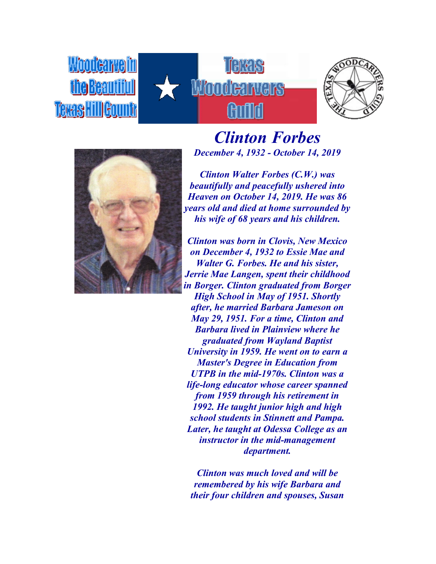**Woodcarvelin** the Beautiful Texas Hill Gountr







*Clinton Forbes December 4, 1932 - October 14, 2019*

*Clinton Walter Forbes (C.W.) was beautifully and peacefully ushered into Heaven on October 14, 2019. He was 86 years old and died at home surrounded by his wife of 68 years and his children.*

*Clinton was born in Clovis, New Mexico on December 4, 1932 to Essie Mae and Walter G. Forbes. He and his sister, Jerrie Mae Langen, spent their childhood in Borger. Clinton graduated from Borger High School in May of 1951. Shortly after, he married Barbara Jameson on May 29, 1951. For a time, Clinton and Barbara lived in Plainview where he graduated from Wayland Baptist University in 1959. He went on to earn a Master's Degree in Education from UTPB in the mid-1970s. Clinton was a life-long educator whose career spanned from 1959 through his retirement in 1992. He taught junior high and high school students in Stinnett and Pampa. Later, he taught at Odessa College as an instructor in the mid-management department.*

*Clinton was much loved and will be remembered by his wife Barbara and their four children and spouses, Susan*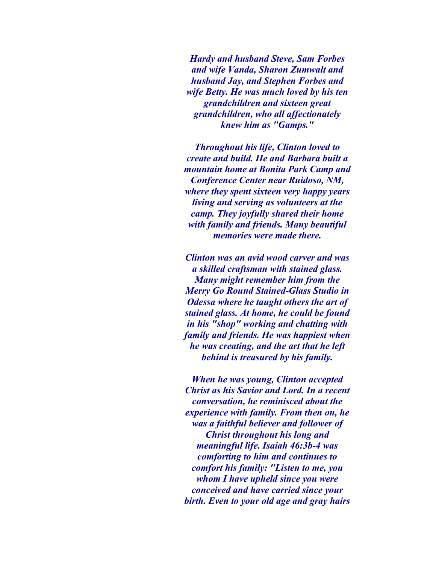*Hardy and husband Steve, Sam Forbes and wife Vanda, Sharon Zumwalt and husband Jay, and Stephen Forbes and wife Betty. He was much loved by his ten grandchildren and sixteen great grandchildren, who all affectionately knew him as "Gamps."*

*Throughout his life, Clinton loved to create and build. He and Barbara built a mountain home at Bonita Park Camp and Conference Center near Ruidoso, NM, where they spent sixteen very happy years living and serving as volunteers at the camp. They joyfully shared their home with family and friends. Many beautiful memories were made there.*

*Clinton was an avid wood carver and was a skilled craftsman with stained glass. Many might remember him from the Merry Go Round Stained-Glass Studio in Odessa where he taught others the art of stained glass. At home, he could be found in his "shop" working and chatting with family and friends. He was happiest when he was creating, and the art that he left behind is treasured by his family.*

*When he was young, Clinton accepted Christ as his Savior and Lord. In a recent conversation, he reminisced about the experience with family. From then on, he was a faithful believer and follower of Christ throughout his long and meaningful life. Isaiah 46:3b-4 was comforting to him and continues to comfort his family: "Listen to me, you whom I have upheld since you were conceived and have carried since your birth. Even to your old age and gray hairs*